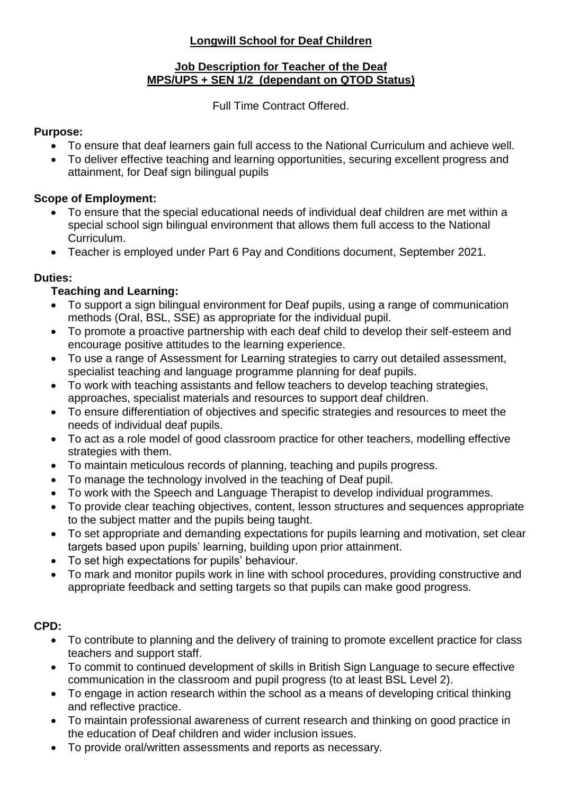## **Longwill School for Deaf Children**

### **Job Description for Teacher of the Deaf MPS/UPS + SEN 1/2 (dependant on QTOD Status)**

Full Time Contract Offered.

### **Purpose:**

- To ensure that deaf learners gain full access to the National Curriculum and achieve well.
- To deliver effective teaching and learning opportunities, securing excellent progress and attainment, for Deaf sign bilingual pupils

# **Scope of Employment:**

- To ensure that the special educational needs of individual deaf children are met within a special school sign bilingual environment that allows them full access to the National Curriculum.
- Teacher is employed under Part 6 Pay and Conditions document, September 2021.

# **Duties:**

# **Teaching and Learning:**

- To support a sign bilingual environment for Deaf pupils, using a range of communication methods (Oral, BSL, SSE) as appropriate for the individual pupil.
- To promote a proactive partnership with each deaf child to develop their self-esteem and encourage positive attitudes to the learning experience.
- To use a range of Assessment for Learning strategies to carry out detailed assessment, specialist teaching and language programme planning for deaf pupils.
- To work with teaching assistants and fellow teachers to develop teaching strategies, approaches, specialist materials and resources to support deaf children.
- To ensure differentiation of objectives and specific strategies and resources to meet the needs of individual deaf pupils.
- To act as a role model of good classroom practice for other teachers, modelling effective strategies with them.
- To maintain meticulous records of planning, teaching and pupils progress.
- To manage the technology involved in the teaching of Deaf pupil.
- To work with the Speech and Language Therapist to develop individual programmes.
- To provide clear teaching objectives, content, lesson structures and sequences appropriate to the subject matter and the pupils being taught.
- To set appropriate and demanding expectations for pupils learning and motivation, set clear targets based upon pupils' learning, building upon prior attainment.
- To set high expectations for pupils' behaviour.
- To mark and monitor pupils work in line with school procedures, providing constructive and appropriate feedback and setting targets so that pupils can make good progress.

# **CPD:**

- To contribute to planning and the delivery of training to promote excellent practice for class teachers and support staff.
- To commit to continued development of skills in British Sign Language to secure effective communication in the classroom and pupil progress (to at least BSL Level 2).
- To engage in action research within the school as a means of developing critical thinking and reflective practice.
- To maintain professional awareness of current research and thinking on good practice in the education of Deaf children and wider inclusion issues.
- To provide oral/written assessments and reports as necessary.